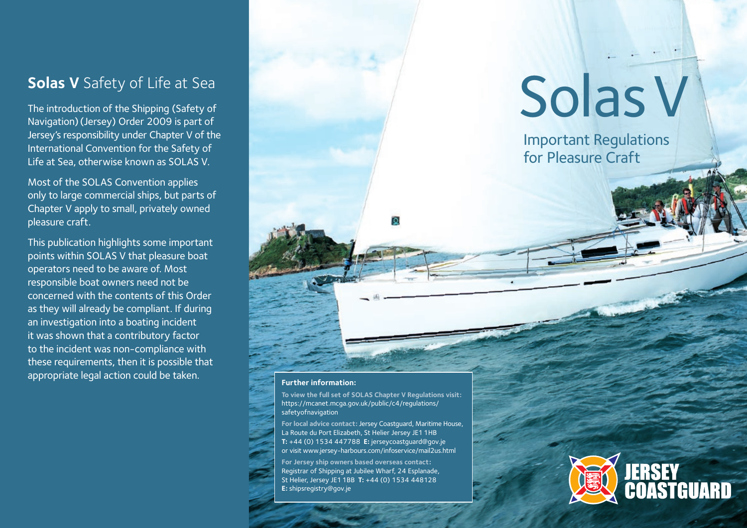## **Solas V** Safety of Life at Sea

The introduction of the Shipping (Safety of Navigation) (Jersey) Order 2009 is part of Jersey's responsibility under Chapter V of the International Convention for the Safety of Life at Sea, otherwise known as SOLAS V.

Most of the SOLAS Convention applies only to large commercial ships, but parts of Chapter V apply to small, privately owned pleasure craft.

This publication highlights some important points within SOLAS V that pleasure boat operators need to be aware of. Most responsible boat owners need not be concerned with the contents of this Order as they will already be compliant. If during an investigation into a boating incident it was shown that a contributory factor to the incident was non-compliance with these requirements, then it is possible that appropriate legal action could be taken.

# Solas V

Important Regulations for Pleasure Craft

#### **Further information:**

**To view the full set of SOLAS Chapter V Regulations visit:**  https://mcanet.mcga.gov.uk/public/c4/regulations/ safetyofnavigation

**For local advice contact:** Jersey Coastguard, Maritime House, La Route du Port Elizabeth, St Helier Jersey JE1 1HB **T:** +44 (0) 1534 447788 **E:** jerseycoastguard@gov.je or visit www.jersey-harbours.com/infoservice/mail2us.html

**For Jersey ship owners based overseas contact:** Registrar of Shipping at Jubilee Wharf, 24 Esplanade, St Helier, Jersey JE1 1BB **T:** +44 (0) 1534 448128 **E:** shipsregistry@gov.je